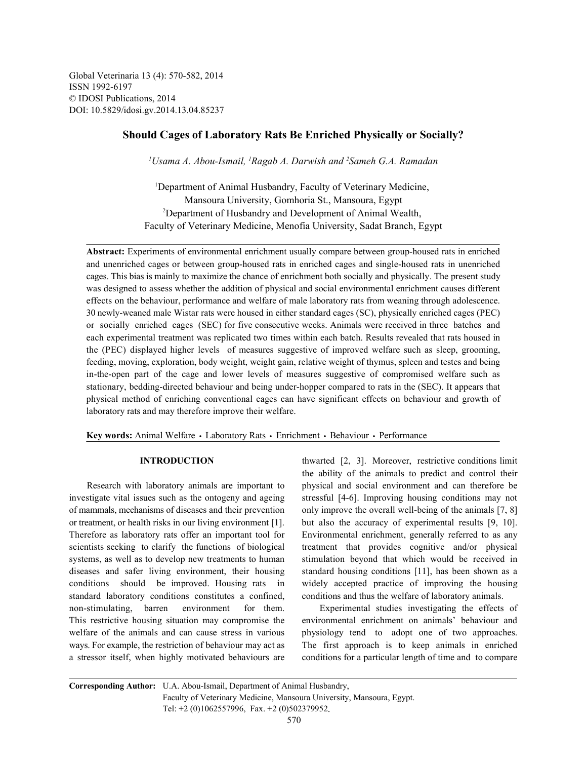Global Veterinaria 13 (4): 570-582, 2014 ISSN 1992-6197 © IDOSI Publications, 2014 DOI: 10.5829/idosi.gv.2014.13.04.85237

# **Should Cages of Laboratory Rats Be Enriched Physically or Socially?**

<sup>1</sup>Usama A. Abou-Ismail, <sup>1</sup>Ragab A. Darwish and <sup>2</sup>Sameh G.A. Ramadan

<sup>1</sup>Department of Animal Husbandry, Faculty of Veterinary Medicine, Mansoura University, Gomhoria St., Mansoura, Egypt <sup>2</sup>Department of Husbandry and Development of Animal Wealth, Faculty of Veterinary Medicine, Menofia University, Sadat Branch, Egypt

**Abstract:** Experiments of environmental enrichment usually compare between group-housed rats in enriched and unenriched cages or between group-housed rats in enriched cages and single-housed rats in unenriched cages. This bias is mainly to maximize the chance of enrichment both socially and physically. The present study was designed to assess whether the addition of physical and social environmental enrichment causes different effects on the behaviour, performance and welfare of male laboratory rats from weaning through adolescence. 30 newly-weaned male Wistar rats were housed in either standard cages (SC), physically enriched cages (PEC) or socially enriched cages (SEC) for five consecutive weeks. Animals were received in three batches and each experimental treatment was replicated two times within each batch. Results revealed that rats housed in the (PEC) displayed higher levels of measures suggestive of improved welfare such as sleep, grooming, feeding, moving, exploration, body weight, weight gain, relative weight of thymus, spleen and testes and being in-the-open part of the cage and lower levels of measures suggestive of compromised welfare such as stationary, bedding-directed behaviour and being under-hopper compared to rats in the (SEC). It appears that physical method of enriching conventional cages can have significant effects on behaviour and growth of laboratory rats and may therefore improve their welfare.

Key words: Animal Welfare · Laboratory Rats · Enrichment · Behaviour · Performance

investigate vital issues such as the ontogeny and ageing stressful [4-6]. Improving housing conditions may not of mammals, mechanisms of diseases and their prevention only improve the overall well-being of the animals [7, 8] or treatment, or health risks in our living environment [1]. but also the accuracy of experimental results [9, 10]. Therefore as laboratory rats offer an important tool for Environmental enrichment, generally referred to as any scientists seeking to clarify the functions of biological treatment that provides cognitive and/or physical systems, as well as to develop new treatments to human stimulation beyond that which would be received in diseases and safer living environment, their housing standard housing conditions [11], has been shown as a conditions should be improved. Housing rats in widely accepted practice of improving the housing standard laboratory conditions constitutes a confined, conditions and thus the welfare of laboratory animals. non-stimulating, barren environment for them. Experimental studies investigating the effects of This restrictive housing situation may compromise the environmental enrichment on animals' behaviour and welfare of the animals and can cause stress in various physiology tend to adopt one of two approaches. ways. For example, the restriction of behaviour may act as The first approach is to keep animals in enriched a stressor itself, when highly motivated behaviours are conditions for a particular length of time and to compare

**INTRODUCTION** thwarted [2, 3]. Moreover, restrictive conditions limit Research with laboratory animals are important to physical and social environment and can therefore be the ability of the animals to predict and control their

**Corresponding Author:** U.A. Abou-Ismail, Department of Animal Husbandry, Faculty of Veterinary Medicine, Mansoura University, Mansoura, Egypt. Tel: +2 (0)1062557996, Fax. +2 (0)502379952.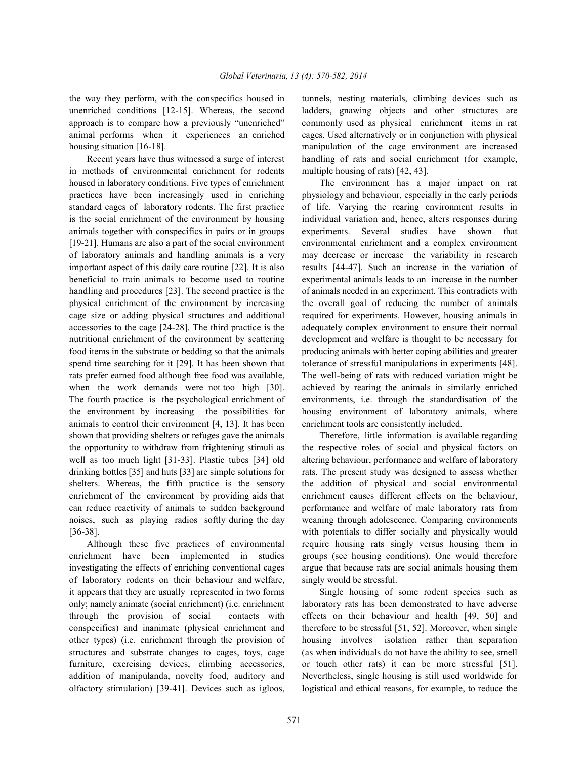the way they perform, with the conspecifics housed in tunnels, nesting materials, climbing devices such as unenriched conditions [12-15]. Whereas, the second ladders, gnawing objects and other structures are approach is to compare how a previously "unenriched" commonly used as physical enrichment items in rat animal performs when it experiences an enriched cages. Used alternatively or in conjunction with physical housing situation [16-18]. manipulation of the cage environment are increased

in methods of environmental enrichment for rodents multiple housing of rats) [42, 43]. housed in laboratory conditions. Five types of enrichment The environment has a major impact on rat practices have been increasingly used in enriching physiology and behaviour, especially in the early periods standard cages of laboratory rodents. The first practice of life. Varying the rearing environment results in is the social enrichment of the environment by housing individual variation and, hence, alters responses during animals together with conspecifics in pairs or in groups experiments. Several studies have shown that [19-21]. Humans are also a part of the social environment environmental enrichment and a complex environment of laboratory animals and handling animals is a very may decrease or increase the variability in research important aspect of this daily care routine [22]. It is also results [44-47]. Such an increase in the variation of beneficial to train animals to become used to routine experimental animals leads to an increase in the number handling and procedures [23]. The second practice is the of animals needed in an experiment. This contradicts with physical enrichment of the environment by increasing the overall goal of reducing the number of animals cage size or adding physical structures and additional required for experiments. However, housing animals in accessories to the cage [24-28]. The third practice is the adequately complex environment to ensure their normal nutritional enrichment of the environment by scattering development and welfare is thought to be necessary for food items in the substrate or bedding so that the animals producing animals with better coping abilities and greater spend time searching for it [29]. It has been shown that tolerance of stressful manipulations in experiments [48]. rats prefer earned food although free food was available, The well-being of rats with reduced variation might be when the work demands were not too high [30]. achieved by rearing the animals in similarly enriched The fourth practice is the psychological enrichment of environments, i.e. through the standardisation of the the environment by increasing the possibilities for housing environment of laboratory animals, where animals to control their environment [4, 13]. It has been enrichment tools are consistently included. shown that providing shelters or refuges gave the animals Therefore, little information is available regarding the opportunity to withdraw from frightening stimuli as the respective roles of social and physical factors on well as too much light [31-33]. Plastic tubes [34] old altering behaviour, performance and welfare of laboratory drinking bottles [35] and huts [33] are simple solutions for rats. The present study was designed to assess whether shelters. Whereas, the fifth practice is the sensory the addition of physical and social environmental enrichment of the environment by providing aids that enrichment causes different effects on the behaviour, can reduce reactivity of animals to sudden background performance and welfare of male laboratory rats from noises, such as playing radios softly during the day weaning through adolescence. Comparing environments [36-38]. with potentials to differ socially and physically would

enrichment have been implemented in studies groups (see housing conditions). One would therefore investigating the effects of enriching conventional cages argue that because rats are social animals housing them of laboratory rodents on their behaviour and welfare, singly would be stressful. it appears that they are usually represented in two forms Single housing of some rodent species such as only; namely animate (social enrichment) (i.e. enrichment laboratory rats has been demonstrated to have adverse through the provision of social contacts with effects on their behaviour and health [49, 50] and conspecifics) and inanimate (physical enrichment and therefore to be stressful [51, 52]. Moreover, when single other types) (i.e. enrichment through the provision of housing involves isolation rather than separation structures and substrate changes to cages, toys, cage (as when individuals do not have the ability to see, smell furniture, exercising devices, climbing accessories, or touch other rats) it can be more stressful [51]. addition of manipulanda, novelty food, auditory and Nevertheless, single housing is still used worldwide for olfactory stimulation) [39-41]. Devices such as igloos, logistical and ethical reasons, for example, to reduce the

Recent years have thus witnessed a surge of interest handling of rats and social enrichment (for example,

Although these five practices of environmental require housing rats singly versus housing them in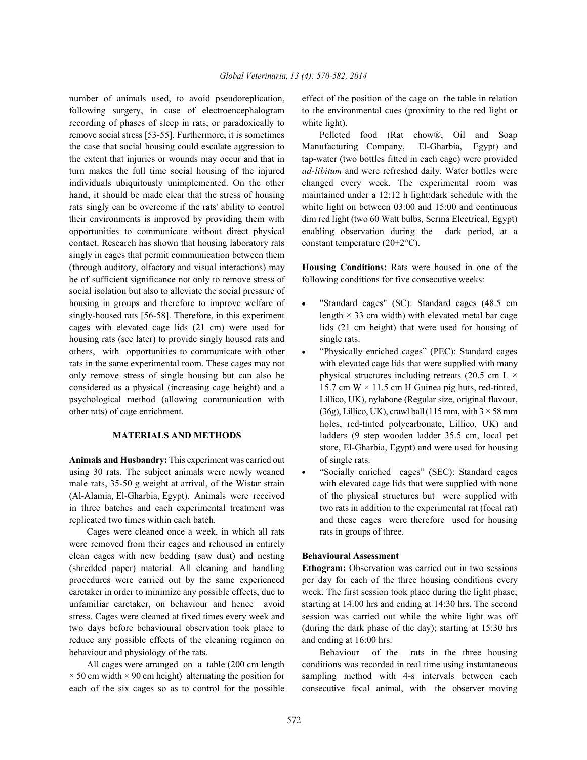following surgery, in case of electroencephalogram to the environmental cues (proximity to the red light or recording of phases of sleep in rats, or paradoxically to white light). remove social stress [53-55]. Furthermore, it is sometimes Pelleted food (Rat chow®, Oil and Soap contact. Research has shown that housing laboratory rats constant temperature ( $20\pm2\degree C$ ). singly in cages that permit communication between them (through auditory, olfactory and visual interactions) may **Housing Conditions:** Rats were housed in one of the be of sufficient significance not only to remove stress of following conditions for five consecutive weeks: social isolation but also to alleviate the social pressure of housing in groups and therefore to improve welfare of  $\bullet$  "Standard cages" (SC): Standard cages (48.5 cm singly-housed rats [56-58]. Therefore, in this experiment length  $\times$  33 cm width) with elevated metal bar cage cages with elevated cage lids (21 cm) were used for lids (21 cm height) that were used for housing of housing rats (see later) to provide singly housed rats and single rats. others, with opportunities to communicate with other "Physically enriched cages" (PEC): Standard cages rats in the same experimental room. These cages may not with elevated cage lids that were supplied with many only remove stress of single housing but can also be physical structures including retreats (20.5 cm L  $\times$ considered as a physical (increasing cage height) and a 15.7 cm W  $\times$  11.5 cm H Guinea pig huts, red-tinted, psychological method (allowing communication with Lillico, UK), nylabone (Regular size, original flavour, other rats) of cage enrichment. (36g), Lillico, UK), crawl ball (115 mm, with  $3 \times 58$  mm

Animals and Husbandry: This experiment was carried out of single rats. using 30 rats. The subject animals were newly weaned . "Socially enriched cages" (SEC): Standard cages male rats, 35-50 g weight at arrival, of the Wistar strain with elevated cage lids that were supplied with none (Al-Alamia, El-Gharbia, Egypt). Animals were received of the physical structures but were supplied with in three batches and each experimental treatment was two rats in addition to the experimental rat (focal rat) replicated two times within each batch. and these cages were therefore used for housing

Cages were cleaned once a week, in which all rats rats in groups of three. were removed from their cages and rehoused in entirely clean cages with new bedding (saw dust) and nesting **Behavioural Assessment** (shredded paper) material. All cleaning and handling **Ethogram:** Observation was carried out in two sessions procedures were carried out by the same experienced per day for each of the three housing conditions every caretaker in order to minimize any possible effects, due to week. The first session took place during the light phase; unfamiliar caretaker, on behaviour and hence avoid starting at 14:00 hrs and ending at 14:30 hrs. The second stress. Cages were cleaned at fixed times every week and session was carried out while the white light was off two days before behavioural observation took place to (during the dark phase of the day); starting at 15:30 hrs reduce any possible effects of the cleaning regimen on and ending at 16:00 hrs. behaviour and physiology of the rats. Behaviour of the rats in the three housing

number of animals used, to avoid pseudoreplication, effect of the position of the cage on the table in relation

the case that social housing could escalate aggression to Manufacturing Company, El-Gharbia, Egypt) and the extent that injuries or wounds may occur and that in tap-water (two bottles fitted in each cage) were provided turn makes the full time social housing of the injured *ad-libitum* and were refreshed daily. Water bottles were individuals ubiquitously unimplemented. On the other changed every week. The experimental room was hand, it should be made clear that the stress of housing maintained under a 12:12 h light:dark schedule with the rats singly can be overcome if the rats' ability to control white light on between 03:00 and 15:00 and continuous their environments is improved by providing them with dim red light (two 60 Watt bulbs, Serma Electrical, Egypt) opportunities to communicate without direct physical enabling observation during the dark period, at a

- 
- **MATERIALS AND METHODS** ladders (9 step wooden ladder 35.5 cm, local pet holes, red-tinted polycarbonate, Lillico, UK) and store, El-Gharbia, Egypt) and were used for housing
	-

All cages were arranged on a table (200 cm length conditions was recorded in real time using instantaneous  $\times$  50 cm width  $\times$  90 cm height) alternating the position for sampling method with 4-s intervals between each each of the six cages so as to control for the possible consecutive focal animal, with the observer moving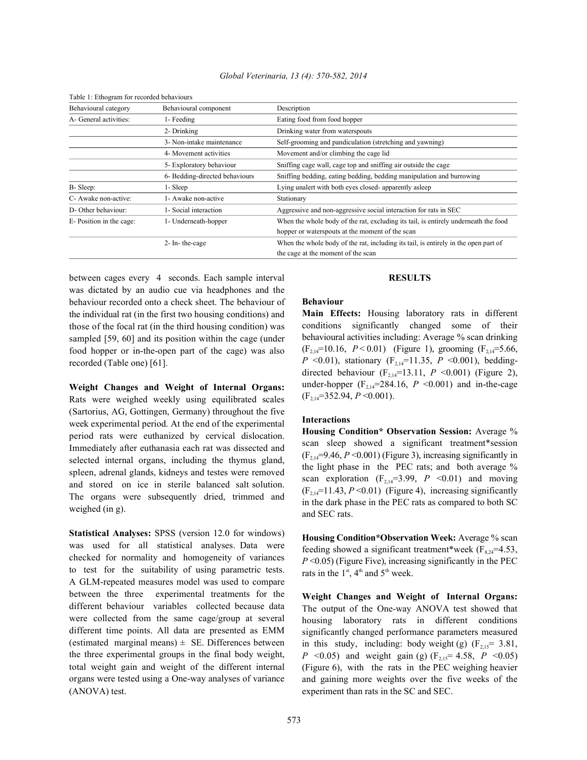| Table 1: Ethogram for recorded behaviours                                            |                                                                                     |
|--------------------------------------------------------------------------------------|-------------------------------------------------------------------------------------|
| Behavioural component                                                                | Description                                                                         |
| 1- Feeding                                                                           | Eating food from food hopper                                                        |
| 2- Drinking                                                                          | Drinking water from waterspouts                                                     |
| 3- Non-intake maintenance                                                            | Self-grooming and pandiculation (stretching and yawning)                            |
| 4- Movement activities<br>5- Exploratory behaviour<br>6- Bedding-directed behaviours | Movement and/or climbing the cage lid                                               |
|                                                                                      | Sniffing cage wall, cage top and sniffing air outside the cage                      |
|                                                                                      | Sniffing bedding, eating bedding, bedding manipulation and burrowing                |
| 1- Sleep                                                                             | Lying unalert with both eyes closed- apparently as leep                             |
| 1- Awake non-active                                                                  | Stationary                                                                          |
| 1- Social interaction                                                                | Aggressive and non-aggressive social interaction for rats in SEC                    |
| E-Position in the cage:<br>1- Underneath-hopper<br>2- In-the-cage                    | When the whole body of the rat, excluding its tail, is entirely underneath the food |
|                                                                                      | hopper or waterspouts at the moment of the scan                                     |
|                                                                                      | When the whole body of the rat, including its tail, is entirely in the open part of |
|                                                                                      | the cage at the moment of the scan                                                  |
|                                                                                      |                                                                                     |

between cages every 4 seconds. Each sample interval **RESULTS** was dictated by an audio cue via headphones and the behaviour recorded onto a check sheet. The behaviour of the individual rat (in the first two housing conditions) and those of the focal rat (in the third housing condition) was sampled [59, 60] and its position within the cage (under food hopper or in-the-open part of the cage) was also recorded (Table one) [61].

**Weight Changes and Weight of Internal Organs:** Rats were weighed weekly using equilibrated scales (Sartorius, AG, Gottingen, Germany) throughout the five week experimental period. At the end of the experimental period rats were euthanized by cervical dislocation. Immediately after euthanasia each rat was dissected and selected internal organs, including the thymus gland, spleen, adrenal glands, kidneys and testes were removed and stored on ice in sterile balanced salt solution. The organs were subsequently dried, trimmed and weighed (in g).

**Statistical Analyses:** SPSS (version 12.0 for windows) was used for all statistical analyses. Data were checked for normality and homogeneity of variances to test for the suitability of using parametric tests. A GLM-repeated measures model was used to compare between the three experimental treatments for the different behaviour variables collected because data were collected from the same cage/group at several different time points. All data are presented as EMM (estimated marginal means)  $\pm$  SE. Differences between the three experimental groups in the final body weight, total weight gain and weight of the different internal organs were tested using a One-way analyses of variance (ANOVA) test.

## **Behaviour**

**Main Effects:** Housing laboratory rats in different conditions significantly changed some of their behavioural activities including: Average % scan drinking  $(F_{2,14} = 10.16, P < 0.01)$  (Figure 1), grooming  $(F_{2,14} = 5.66,$ *P* <0.01), stationary ( $F_{2,14}$ =11.35, *P* <0.001), beddingdirected behaviour ( $F_{2,14}$ =13.11, *P* <0.001) (Figure 2), under-hopper  $(F_{2,14} = 284.16, P \le 0.001)$  and in-the-cage  $(F_{2.14} = 352.94, P \le 0.001).$ 

## **Interactions**

**Housing Condition\* Observation Session:** Average % scan sleep showed a significant treatment\*session  $(F_{2,14} = 9.46, P \le 0.001)$  (Figure 3), increasing significantly in the light phase in the PEC rats; and both average % scan exploration  $(F_{2,14}=3.99, P \le 0.01)$  and moving  $(F_{2,14} = 11.43, P \le 0.01)$  (Figure 4), increasing significantly in the dark phase in the PEC rats as compared to both SC and SEC rats.

**Housing Condition\*Observation Week:** Average % scan feeding showed a significant treatment\*week ( $F_{8,24}$ =4.53, *P* <0.05) (Figure Five), increasing significantly in the PEC rats in the  $1<sup>st</sup>$ , 4<sup>th</sup> and 5<sup>th</sup> week.

**Weight Changes and Weight of Internal Organs:** The output of the One-way ANOVA test showed that housing laboratory rats in different conditions significantly changed performance parameters measured in this study, including: body weight (g)  $(F_{2,15} = 3.81,$ *P* <0.05) and weight gain (g)  $(F_{2.15} = 4.58, P \le 0.05)$ (Figure 6), with the rats in the PEC weighing heavier and gaining more weights over the five weeks of the experiment than rats in the SC and SEC.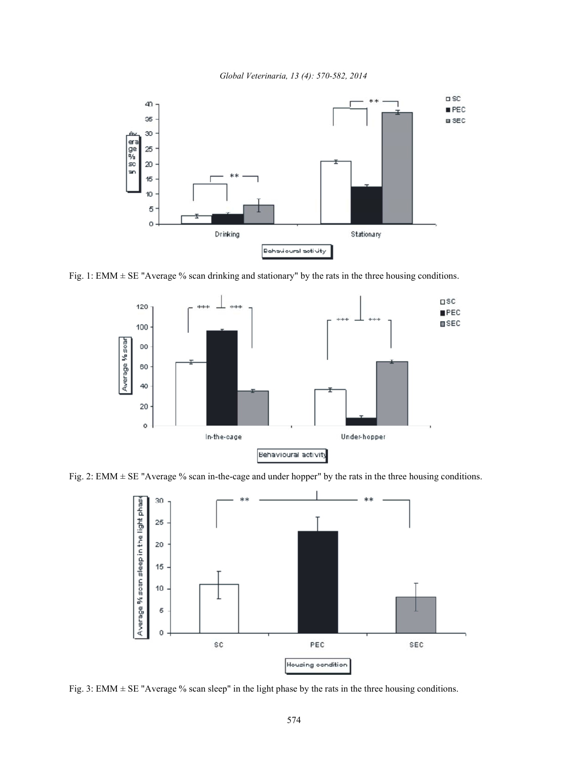*Global Veterinaria, 13 (4): 570-582, 2014*



Fig. 1: EMM  $\pm$  SE "Average % scan drinking and stationary" by the rats in the three housing conditions.



Fig. 2: EMM ± SE "Average % scan in-the-cage and under hopper" by the rats in the three housing conditions.



Fig. 3: EMM  $\pm$  SE "Average % scan sleep" in the light phase by the rats in the three housing conditions.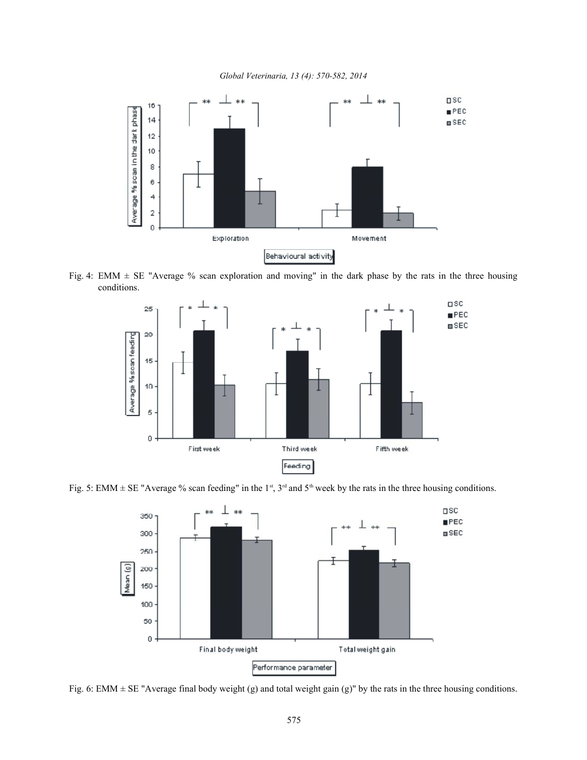*Global Veterinaria, 13 (4): 570-582, 2014*



Fig. 4: EMM  $\pm$  SE "Average % scan exploration and moving" in the dark phase by the rats in the three housing conditions.







Fig. 6: EMM  $\pm$  SE "Average final body weight (g) and total weight gain (g)" by the rats in the three housing conditions.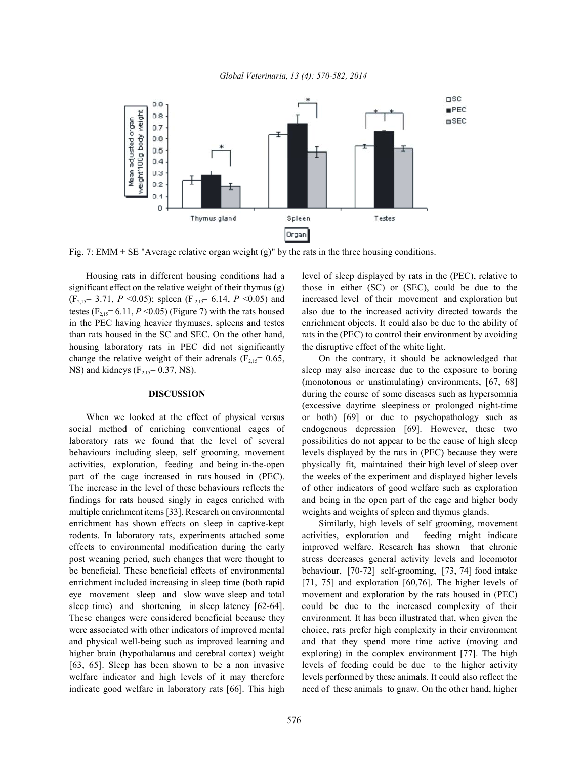

Fig. 7: EMM  $\pm$  SE "Average relative organ weight (g)" by the rats in the three housing conditions.

Housing rats in different housing conditions had a level of sleep displayed by rats in the (PEC), relative to significant effect on the relative weight of their thymus (g) those in either (SC) or (SEC), could be due to the  $(F_{2,15} = 3.71, P \le 0.05)$ ; spleen  $(F_{2,15} = 6.14, P \le 0.05)$  and increased level of their movement and exploration but testes  $(F_{2,15} = 6.11, P \le 0.05)$  (Figure 7) with the rats housed also due to the increased activity directed towards the in the PEC having heavier thymuses, spleens and testes enrichment objects. It could also be due to the ability of than rats housed in the SC and SEC. On the other hand, rats in the (PEC) to control their environment by avoiding housing laboratory rats in PEC did not significantly the disruptive effect of the white light. change the relative weight of their adrenals  $(F_{2,15} = 0.65)$  On the contrary, it should be acknowledged that NS) and kidneys  $(F_{2,15} = 0.37,$  NS). 2,15 sleep may also increase due to the exposure to boring

social method of enriching conventional cages of endogenous depression [69]. However, these two laboratory rats we found that the level of several possibilities do not appear to be the cause of high sleep behaviours including sleep, self grooming, movement levels displayed by the rats in (PEC) because they were activities, exploration, feeding and being in-the-open physically fit, maintained their high level of sleep over part of the cage increased in rats housed in (PEC). the weeks of the experiment and displayed higher levels The increase in the level of these behaviours reflects the of other indicators of good welfare such as exploration findings for rats housed singly in cages enriched with and being in the open part of the cage and higher body multiple enrichment items [33]. Research on environmental weights and weights of spleen and thymus glands. enrichment has shown effects on sleep in captive-kept Similarly, high levels of self grooming, movement rodents. In laboratory rats, experiments attached some activities, exploration and feeding might indicate effects to environmental modification during the early improved welfare. Research has shown that chronic post weaning period, such changes that were thought to stress decreases general activity levels and locomotor be beneficial. These beneficial effects of environmental behaviour, [70-72] self-grooming, [73, 74] food intake enrichment included increasing in sleep time (both rapid [71, 75] and exploration [60,76]. The higher levels of eye movement sleep and slow wave sleep and total movement and exploration by the rats housed in (PEC) sleep time) and shortening in sleep latency [62-64]. could be due to the increased complexity of their These changes were considered beneficial because they environment. It has been illustrated that, when given the were associated with other indicators of improved mental choice, rats prefer high complexity in their environment and physical well-being such as improved learning and and that they spend more time active (moving and higher brain (hypothalamus and cerebral cortex) weight exploring) in the complex environment [77]. The high [63, 65]. Sleep has been shown to be a non invasive levels of feeding could be due to the higher activity welfare indicator and high levels of it may therefore levels performed by these animals. It could also reflect the indicate good welfare in laboratory rats [66]. This high need of these animals to gnaw. On the other hand, higher

**DISCUSSION** during the course of some diseases such as hypersomnia When we looked at the effect of physical versus or both) [69] or due to psychopathology such as (monotonous or unstimulating) environments, [67, 68] (excessive daytime sleepiness or prolonged night-time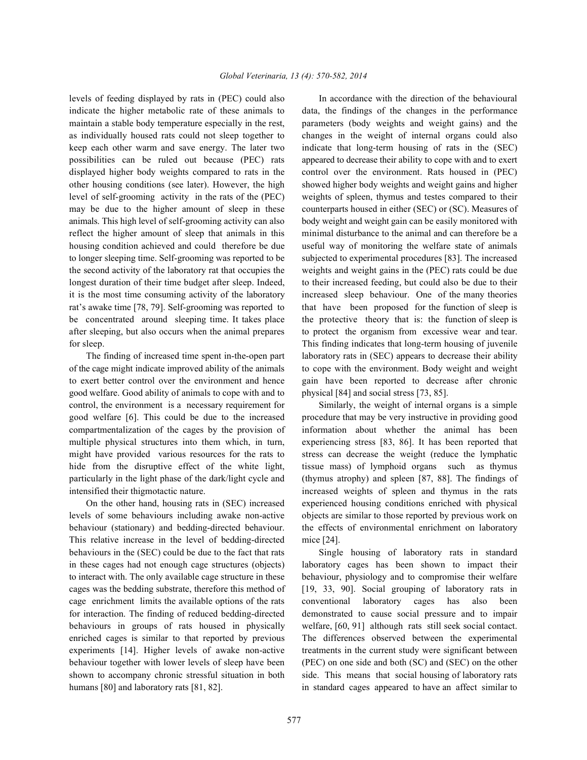indicate the higher metabolic rate of these animals to data, the findings of the changes in the performance maintain a stable body temperature especially in the rest, parameters (body weights and weight gains) and the as individually housed rats could not sleep together to changes in the weight of internal organs could also keep each other warm and save energy. The later two indicate that long-term housing of rats in the (SEC) possibilities can be ruled out because (PEC) rats appeared to decrease their ability to cope with and to exert displayed higher body weights compared to rats in the control over the environment. Rats housed in (PEC) other housing conditions (see later). However, the high showed higher body weights and weight gains and higher level of self-grooming activity in the rats of the (PEC) weights of spleen, thymus and testes compared to their may be due to the higher amount of sleep in these counterparts housed in either (SEC) or (SC). Measures of animals. This high level of self-grooming activity can also body weight and weight gain can be easily monitored with reflect the higher amount of sleep that animals in this minimal disturbance to the animal and can therefore be a housing condition achieved and could therefore be due useful way of monitoring the welfare state of animals to longer sleeping time. Self-grooming was reported to be subjected to experimental procedures [83]. The increased the second activity of the laboratory rat that occupies the weights and weight gains in the (PEC) rats could be due longest duration of their time budget after sleep. Indeed, to their increased feeding, but could also be due to their it is the most time consuming activity of the laboratory increased sleep behaviour. One of the many theories rat's awake time [78, 79]. Self-grooming was reported to that have been proposed for the function of sleep is be concentrated around sleeping time. It takes place the protective theory that is: the function of sleep is after sleeping, but also occurs when the animal prepares to protect the organism from excessive wear and tear. for sleep. This finding indicates that long-term housing of juvenile

of the cage might indicate improved ability of the animals to cope with the environment. Body weight and weight to exert better control over the environment and hence gain have been reported to decrease after chronic good welfare. Good ability of animals to cope with and to physical [84] and social stress [73, 85]. control, the environment is a necessary requirement for Similarly, the weight of internal organs is a simple good welfare [6]. This could be due to the increased procedure that may be very instructive in providing good compartmentalization of the cages by the provision of information about whether the animal has been multiple physical structures into them which, in turn, experiencing stress [83, 86]. It has been reported that might have provided various resources for the rats to stress can decrease the weight (reduce the lymphatic hide from the disruptive effect of the white light, tissue mass) of lymphoid organs such as thymus particularly in the light phase of the dark/light cycle and (thymus atrophy) and spleen [87, 88]. The findings of intensified their thigmotactic nature. increased weights of spleen and thymus in the rats

levels of some behaviours including awake non-active objects are similar to those reported by previous work on behaviour (stationary) and bedding-directed behaviour. the effects of environmental enrichment on laboratory This relative increase in the level of bedding-directed mice [24]. behaviours in the (SEC) could be due to the fact that rats Single housing of laboratory rats in standard in these cages had not enough cage structures (objects) laboratory cages has been shown to impact their to interact with. The only available cage structure in these behaviour, physiology and to compromise their welfare cages was the bedding substrate, therefore this method of [19, 33, 90]. Social grouping of laboratory rats in cage enrichment limits the available options of the rats conventional laboratory cages has also been for interaction. The finding of reduced bedding-directed demonstrated to cause social pressure and to impair behaviours in groups of rats housed in physically welfare, [60, 91] although rats still seek social contact. enriched cages is similar to that reported by previous The differences observed between the experimental experiments [14]. Higher levels of awake non-active treatments in the current study were significant between behaviour together with lower levels of sleep have been (PEC) on one side and both (SC) and (SEC) on the other shown to accompany chronic stressful situation in both side. This means that social housing of laboratory rats humans [80] and laboratory rats [81, 82]. in standard cages appeared to have an affect similar to

levels of feeding displayed by rats in (PEC) could also In accordance with the direction of the behavioural The finding of increased time spent in-the-open part laboratory rats in (SEC) appears to decrease their ability

On the other hand, housing rats in (SEC) increased experienced housing conditions enriched with physical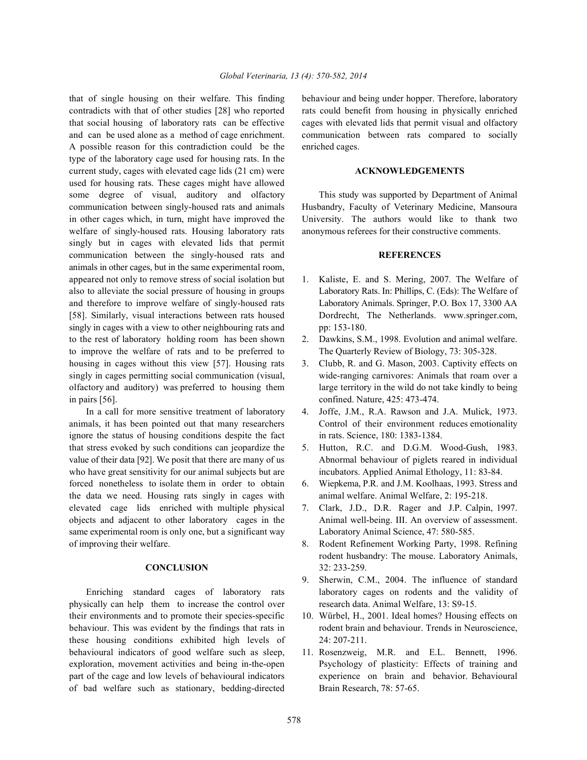contradicts with that of other studies [28] who reported rats could benefit from housing in physically enriched that social housing of laboratory rats can be effective cages with elevated lids that permit visual and olfactory and can be used alone as a method of cage enrichment. communication between rats compared to socially A possible reason for this contradiction could be the enriched cages. type of the laboratory cage used for housing rats. In the current study, cages with elevated cage lids (21 cm) were **ACKNOWLEDGEMENTS** used for housing rats. These cages might have allowed some degree of visual, auditory and olfactory This study was supported by Department of Animal communication between singly-housed rats and animals Husbandry, Faculty of Veterinary Medicine, Mansoura in other cages which, in turn, might have improved the University. The authors would like to thank two welfare of singly-housed rats. Housing laboratory rats anonymous referees for their constructive comments. singly but in cages with elevated lids that permit communication between the singly-housed rats and **REFERENCES** animals in other cages, but in the same experimental room, appeared not only to remove stress of social isolation but 1. Kaliste, E. and S. Mering, 2007. The Welfare of also to alleviate the social pressure of housing in groups Laboratory Rats. In: Phillips, C. (Eds): The Welfare of and therefore to improve welfare of singly-housed rats Laboratory Animals. Springer, P.O. Box 17, 3300 AA [58]. Similarly, visual interactions between rats housed Dordrecht, The Netherlands. www.springer.com, singly in cages with a view to other neighbouring rats and pp: 153-180. to the rest of laboratory holding room has been shown 2. Dawkins, S.M., 1998. Evolution and animal welfare. to improve the welfare of rats and to be preferred to The Quarterly Review of Biology, 73: 305-328. housing in cages without this view [57]. Housing rats 3. Clubb, R. and G. Mason, 2003. Captivity effects on singly in cages permitting social communication (visual, wide-ranging carnivores: Animals that roam over a olfactory and auditory) was preferred to housing them large territory in the wild do not take kindly to being in pairs [56]. confined. Nature, 425: 473-474.

animals, it has been pointed out that many researchers Control of their environment reduces emotionality ignore the status of housing conditions despite the fact in rats. Science, 180: 1383-1384. that stress evoked by such conditions can jeopardize the 5. Hutton, R.C. and D.G.M. Wood-Gush, 1983. value of their data [92]. We posit that there are many of us Abnormal behaviour of piglets reared in individual who have great sensitivity for our animal subjects but are incubators. Applied Animal Ethology, 11: 83-84. forced nonetheless to isolate them in order to obtain 6. Wiepkema, P.R. and J.M. Koolhaas, 1993. Stress and the data we need. Housing rats singly in cages with animal welfare. Animal Welfare, 2: 195-218. elevated cage lids enriched with multiple physical 7. Clark, J.D., D.R. Rager and J.P. Calpin, 1997. objects and adjacent to other laboratory cages in the Animal well-being. III. An overview of assessment. same experimental room is only one, but a significant way Laboratory Animal Science, 47: 580-585. of improving their welfare. 8. Rodent Refinement Working Party, 1998. Refining

physically can help them to increase the control over research data. Animal Welfare, 13: S9-15. their environments and to promote their species-specific 10. Würbel, H., 2001. Ideal homes? Housing effects on behaviour. This was evident by the findings that rats in rodent brain and behaviour. Trends in Neuroscience, these housing conditions exhibited high levels of 24: 207-211. behavioural indicators of good welfare such as sleep, 11. Rosenzweig, M.R. and E.L. Bennett, 1996. exploration, movement activities and being in-the-open Psychology of plasticity: Effects of training and part of the cage and low levels of behavioural indicators experience on brain and behavior. Behavioural of bad welfare such as stationary, bedding-directed Brain Research, 78: 57-65.

that of single housing on their welfare. This finding behaviour and being under hopper. Therefore, laboratory

- 
- 
- 
- In a call for more sensitive treatment of laboratory 4. Joffe, J.M., R.A. Rawson and J.A. Mulick, 1973.
	-
	-
	-
	- **CONCLUSION** 32: 233-259. rodent husbandry: The mouse. Laboratory Animals,
- Enriching standard cages of laboratory rats laboratory cages on rodents and the validity of 9. Sherwin, C.M., 2004. The influence of standard
	-
	-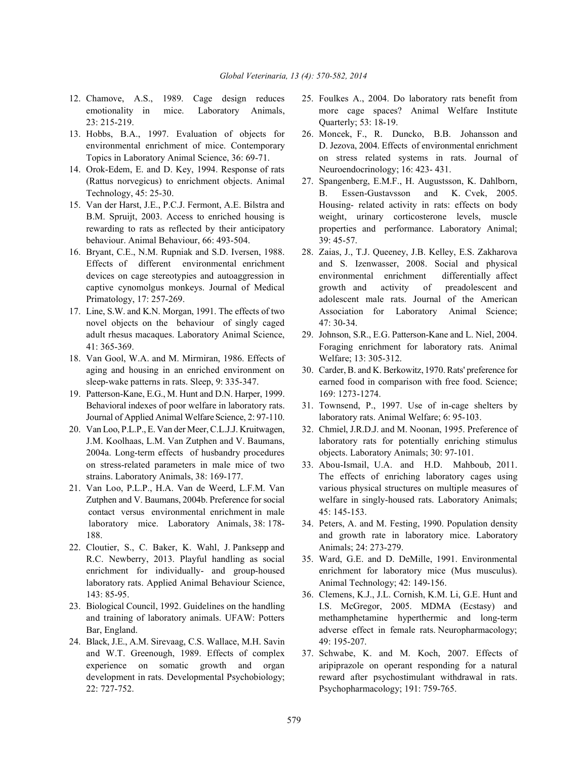- 23: 215-219. Quarterly; 53: 18-19.
- 
- 14. Orok-Edem, E. and D. Key, 1994. Response of rats Neuroendocrinology; 16: 423- 431. (Rattus norvegicus) to enrichment objects. Animal 27. Spangenberg, E.M.F., H. Augustsson, K. Dahlborn,
- behaviour. Animal Behaviour, 66: 493-504. 39: 45-57.
- 
- novel objects on the behaviour of singly caged 47: 30-34. adult rhesus macaques. Laboratory Animal Science, 29. Johnson, S.R., E.G. Patterson-Kane and L. Niel, 2004.
- 18. Van Gool, W.A. and M. Mirmiran, 1986. Effects of Welfare; 13: 305-312. aging and housing in an enriched environment on 30. Carder, B. and K. Berkowitz, 1970. Rats' preference for
- 19. Patterson-Kane, E.G., M. Hunt and D.N. Harper, 1999. 169: 1273-1274. Behavioral indexes of poor welfare in laboratory rats. 31. Townsend, P., 1997. Use of in-cage shelters by Journal of Applied Animal Welfare Science, 2: 97-110. laboratory rats. Animal Welfare; 6: 95-103.
- 2004a. Long-term effects of husbandry procedures objects. Laboratory Animals; 30: 97-101. on stress-related parameters in male mice of two 33. Abou-Ismail, U.A. and H.D. Mahboub, 2011.
- contact versus environmental enrichment in male 45: 145-153. laboratory mice. Laboratory Animals, 38: 178- 34. Peters, A. and M. Festing, 1990. Population density
- 22. Cloutier, S., C. Baker, K. Wahl, J. Panksepp and Animals; 24: 273-279. R.C. Newberry, 2013. Playful handling as social 35. Ward, G.E. and D. DeMille, 1991. Environmental laboratory rats. Applied Animal Behaviour Science, Animal Technology; 42: 149-156. 143: 85-95. 36. Clemens, K.J., J.L. Cornish, K.M. Li, G.E. Hunt and
- 
- 24. Black, J.E., A.M. Sirevaag, C.S. Wallace, M.H. Savin 49: 195-207. and W.T. Greenough, 1989. Effects of complex 37. Schwabe, K. and M. Koch, 2007. Effects of 22: 727-752. Psychopharmacology; 191: 759-765.
- 12. Chamove, A.S., 1989. Cage design reduces 25. Foulkes A., 2004. Do laboratory rats benefit from emotionality in mice. Laboratory Animals, more cage spaces? Animal Welfare Institute
- 13. Hobbs, B.A., 1997. Evaluation of objects for 26. Moncek, F., R. Duncko, B.B. Johansson and environmental enrichment of mice. Contemporary D. Jezova, 2004. Effects of environmental enrichment Topics in Laboratory Animal Science, 36: 69-71. on stress related systems in rats. Journal of
- Technology, 45: 25-30. B. Essen-Gustavsson and K. Cvek, 2005. 15. Van der Harst, J.E., P.C.J. Fermont, A.E. Bilstra and Housing- related activity in rats: effects on body B.M. Spruijt, 2003. Access to enriched housing is weight, urinary corticosterone levels, muscle rewarding to rats as reflected by their anticipatory properties and performance. Laboratory Animal;
- 16. Bryant, C.E., N.M. Rupniak and S.D. Iversen, 1988. 28. Zaias, J., T.J. Queeney, J.B. Kelley, E.S. Zakharova Effects of different environmental enrichment and S. Izenwasser, 2008. Social and physical devices on cage stereotypies and autoaggression in environmental enrichment differentially affect captive cynomolgus monkeys. Journal of Medical growth and activity of preadolescent and Primatology, 17: 257-269. adolescent male rats. Journal of the American 17. Line, S.W. and K.N. Morgan, 1991. The effects of two Association for Laboratory Animal Science;
	- 41: 365-369. Foraging enrichment for laboratory rats. Animal
	- sleep-wake patterns in rats. Sleep, 9: 335-347. earned food in comparison with free food. Science;
		-
- 20. Van Loo, P.L.P., E. Van der Meer, C.L.J.J. Kruitwagen, 32. Chmiel, J.R.D.J. and M. Noonan, 1995. Preference of J.M. Koolhaas, L.M. Van Zutphen and V. Baumans, laboratory rats for potentially enriching stimulus
- strains. Laboratory Animals, 38: 169-177. The effects of enriching laboratory cages using 21. Van Loo, P.L.P., H.A. Van de Weerd, L.F.M. Van various physical structures on multiple measures of Zutphen and V. Baumans, 2004b. Preference for social welfare in singly-housed rats. Laboratory Animals;
	- 188. **and growth rate in laboratory mice.** Laboratory 188.
	- enrichment for individually- and group-housed enrichment for laboratory mice (Mus musculus).
- 23. Biological Council, 1992. Guidelines on the handling I.S. McGregor, 2005. MDMA (Ecstasy) and and training of laboratory animals. UFAW: Potters methamphetamine hyperthermic and long-term Bar, England. **and Election Englanderse effect** in female rats. Neuropharmacology;
	- experience on somatic growth and organ aripiprazole on operant responding for a natural development in rats. Developmental Psychobiology; reward after psychostimulant withdrawal in rats.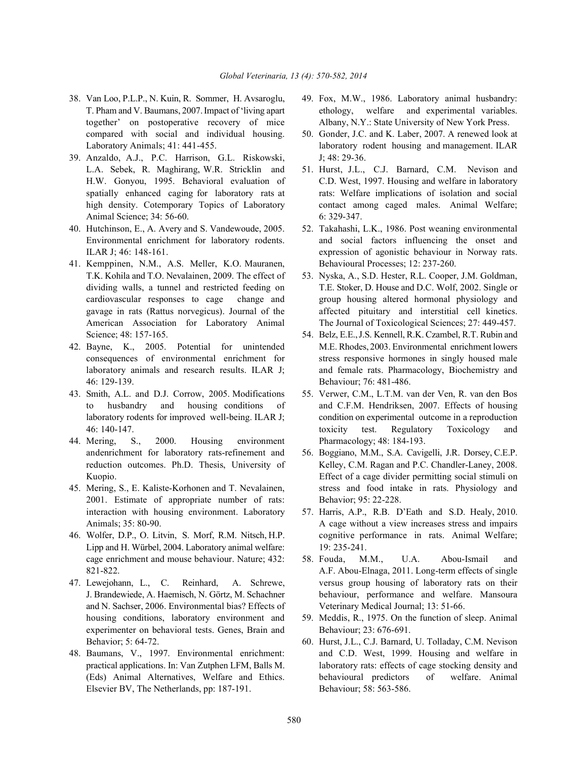- 38. Van Loo, P.L.P., N. Kuin, R. Sommer, H. Avsaroglu, 49. Fox, M.W., 1986. Laboratory animal husbandry:
- 39. Anzaldo, A.J., P.C. Harrison, G.L. Riskowski, J; 48: 29-36. L.A. Sebek, R. Maghirang, W.R. Stricklin and 51. Hurst, J.L., C.J. Barnard, C.M. Nevison and Animal Science; 34: 56-60. 6: 329-347.
- 40. Hutchinson, E., A. Avery and S. Vandewoude, 2005. 52. Takahashi, L.K., 1986. Post weaning environmental
- 41. Kemppinen, N.M., A.S. Meller, K.O. Mauranen, Behavioural Processes; 12: 237-260. T.K. Kohila and T.O. Nevalainen, 2009. The effect of 53. Nyska, A., S.D. Hester, R.L. Cooper, J.M. Goldman,
- 46: 129-139. Behaviour; 76: 481-486.
- 43. Smith, A.L. and D.J. Corrow, 2005. Modifications 55. Verwer, C.M., L.T.M. van der Ven, R. van den Bos
- 44. Mering, S., 2000. Housing environment Pharmacology; 48: 184-193. andenrichment for laboratory rats-refinement and 56. Boggiano, M.M., S.A. Cavigelli, J.R. Dorsey, C.E.P.
- 2001. Estimate of appropriate number of rats: Behavior; 95: 22-228. interaction with housing environment. Laboratory 57. Harris, A.P., R.B. D'Eath and S.D. Healy, 2010.
- Lipp and H. Würbel, 2004. Laboratory animal welfare: 19: 235-241.
- and N. Sachser, 2006. Environmental bias? Effects of Veterinary Medical Journal; 13: 51-66. housing conditions, laboratory environment and 59. Meddis, R., 1975. On the function of sleep. Animal experimenter on behavioral tests. Genes, Brain and Behaviour; 23: 676-691.
- Elsevier BV, The Netherlands, pp: 187-191. Behaviour; 58: 563-586.
- T. Pham and V. Baumans, 2007. Impact of 'living apart ethology, welfare and experimental variables. together' on postoperative recovery of mice Albany, N.Y.: State University of New York Press.
- compared with social and individual housing. 50. Gonder, J.C. and K. Laber, 2007. A renewed look at Laboratory Animals; 41: 441-455. laboratory rodent housing and management. ILAR
- H.W. Gonyou, 1995. Behavioral evaluation of C.D. West, 1997. Housing and welfare in laboratory spatially enhanced caging for laboratory rats at rats: Welfare implications of isolation and social high density. Cotemporary Topics of Laboratory contact among caged males. Animal Welfare;
- Environmental enrichment for laboratory rodents. and social factors influencing the onset and ILAR J; 46: 148-161. expression of agonistic behaviour in Norway rats.
- dividing walls, a tunnel and restricted feeding on T.E. Stoker, D. House and D.C. Wolf, 2002. Single or cardiovascular responses to cage change and group housing altered hormonal physiology and gavage in rats (Rattus norvegicus). Journal of the affected pituitary and interstitial cell kinetics. American Association for Laboratory Animal The Journal of Toxicological Sciences; 27: 449-457.
- Science; 48: 157-165. 54. Belz, E.E., J.S. Kennell, R.K. Czambel, R.T. Rubin and 42. Bayne, K., 2005. Potential for unintended M.E. Rhodes, 2003. Environmental enrichment lowers consequences of environmental enrichment for stress responsive hormones in singly housed male laboratory animals and research results. ILAR J; and female rats. Pharmacology, Biochemistry and
	- to husbandry and housing conditions of and C.F.M. Hendriksen, 2007. Effects of housing laboratory rodents for improved well-being. ILAR J; condition on experimental outcome in a reproduction 46: 140-147. toxicity test. Regulatory Toxicology and
- reduction outcomes. Ph.D. Thesis, University of Kelley, C.M. Ragan and P.C. Chandler-Laney, 2008. Kuopio. Effect of a cage divider permitting social stimuli on 45. Mering, S., E. Kaliste-Korhonen and T. Nevalainen, stress and food intake in rats. Physiology and
- Animals; 35: 80-90. A cage without a view increases stress and impairs 46. Wolfer, D.P., O. Litvin, S. Morf, R.M. Nitsch, H.P. cognitive performance in rats. Animal Welfare;
- cage enrichment and mouse behaviour. Nature; 432: 58. Fouda, M.M., U.A. Abou-Ismail and 821-822. A.F. Abou-Elnaga, 2011. Long-term effects of single 47. Lewejohann, L., C. Reinhard, A. Schrewe, versus group housing of laboratory rats on their J. Brandewiede, A. Haemisch, N. Görtz, M. Schachner behaviour, performance and welfare. Mansoura
	-
- Behavior; 5: 64-72. 60. Hurst, J.L., C.J. Barnard, U. Tolladay, C.M. Nevison 48. Baumans, V., 1997. Environmental enrichment: and C.D. West, 1999. Housing and welfare in practical applications. In: Van Zutphen LFM, Balls M. laboratory rats: effects of cage stocking density and (Eds) Animal Alternatives, Welfare and Ethics. behavioural predictors of welfare. Animal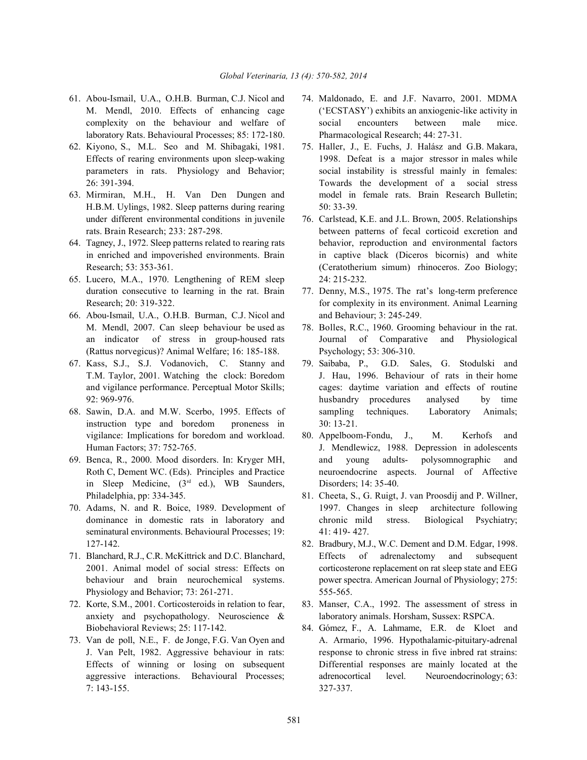- laboratory Rats. Behavioural Processes; 85: 172-180. Pharmacological Research; 44: 27-31.
- 
- H.B.M. Uylings, 1982. Sleep patterns during rearing 50: 33-39. under different environmental conditions in juvenile 76. Carlstead, K.E. and J.L. Brown, 2005. Relationships
- 
- 65. Lucero, M.A., 1970. Lengthening of REM sleep 24: 215-232. duration consecutive to learning in the rat. Brain 77. Denny, M.S., 1975. The rat's long-term preference
- 66. Abou-Ismail, U.A., O.H.B. Burman, C.J. Nicol and and Behaviour; 3: 245-249. M. Mendl, 2007. Can sleep behaviour be used as 78. Bolles, R.C., 1960. Grooming behaviour in the rat. (Rattus norvegicus)? Animal Welfare; 16: 185-188. Psychology; 53: 306-310.
- 67. Kass, S.J., S.J. Vodanovich, C. Stanny and 79. Saibaba, P., G.D. Sales, G. Stodulski and
- instruction type and boredom proneness in 30: 13-21. vigilance: Implications for boredom and workload. 80. Appelboom-Fondu, J., M. Kerhofs and
- in Sleep Medicine,  $(3<sup>rd</sup>$  ed.), WB Saunders, Disorders; 14: 35-40. Philadelphia, pp: 334-345. 81. Cheeta, S., G. Ruigt, J. van Proosdij and P. Willner,
- seminatural environments. Behavioural Processes; 19: 41: 419-427. 127-142. 82. Bradbury, M.J., W.C. Dement and D.M. Edgar, 1998.
- Physiology and Behavior; 73: 261-271. 555-565.
- anxiety and psychopathology. Neuroscience & laboratory animals. Horsham, Sussex: RSPCA. Biobehavioral Reviews; 25: 117-142. 84. Gómez, F., A. Lahmame, E.R. de Kloet and
- 7: 143-155. 327-337.
- 61. Abou-Ismail, U.A., O.H.B. Burman, C.J. Nicol and 74. Maldonado, E. and J.F. Navarro, 2001. MDMA M. Mendl, 2010. Effects of enhancing cage ('ECSTASY') exhibits an anxiogenic-like activity in complexity on the behaviour and welfare of social encounters between male mice.
- 62. Kiyono, S., M.L. Seo and M. Shibagaki, 1981. 75. Haller, J., E. Fuchs, J. Halász and G.B. Makara, Effects of rearing environments upon sleep-waking 1998. Defeat is a major stressor in males while parameters in rats. Physiology and Behavior; social instability is stressful mainly in females: 26: 391-394. Towards the development of a social stress 63. Mirmiran, M.H., H. Van Den Dungen and model in female rats. Brain Research Bulletin;
- rats. Brain Research; 233: 287-298. between patterns of fecal corticoid excretion and 64. Tagney, J., 1972. Sleep patterns related to rearing rats behavior, reproduction and environmental factors in enriched and impoverished environments. Brain in captive black (Diceros bicornis) and white Research; 53: 353-361. (Ceratotherium simum) rhinoceros. Zoo Biology;
	- Research; 20: 319-322. for complexity in its environment. Animal Learning
	- an indicator of stress in group-housed rats Journal of Comparative and Physiological
- T.M. Taylor, 2001. Watching the clock: Boredom J. Hau, 1996. Behaviour of rats in their home and vigilance performance. Perceptual Motor Skills; cages: daytime variation and effects of routine 92: 969-976. husbandry procedures analysed by time 68. Sawin, D.A. and M.W. Scerbo, 1995. Effects of sampling techniques. Laboratory Animals;
- Human Factors; 37: 752-765. J. Mendlewicz, 1988. Depression in adolescents 69. Benca, R., 2000. Mood disorders. In: Kryger MH, and young adults- polysomnographic and Roth C, Dement WC. (Eds). Principles and Practice neuroendocrine aspects. Journal of Affective
- 70. Adams, N. and R. Boice, 1989. Development of 1997. Changes in sleep architecture following dominance in domestic rats in laboratory and chronic mild stress. Biological Psychiatry;
- 71. Blanchard, R.J., C.R. McKittrick and D.C. Blanchard, Effects of adrenalectomy and subsequent 2001. Animal model of social stress: Effects on corticosterone replacement on rat sleep state and EEG behaviour and brain neurochemical systems. power spectra. American Journal of Physiology; 275:
- 72. Korte, S.M., 2001. Corticosteroids in relation to fear, 83. Manser, C.A., 1992. The assessment of stress in
- 73. Van de poll, N.E., F. de Jonge, F.G. Van Oyen and A. Armario, 1996. Hypothalamic-pituitary-adrenal J. Van Pelt, 1982. Aggressive behaviour in rats: response to chronic stress in five inbred rat strains: Effects of winning or losing on subsequent Differential responses are mainly located at the aggressive interactions. Behavioural Processes; adrenocortical level. Neuroendocrinology; 63: